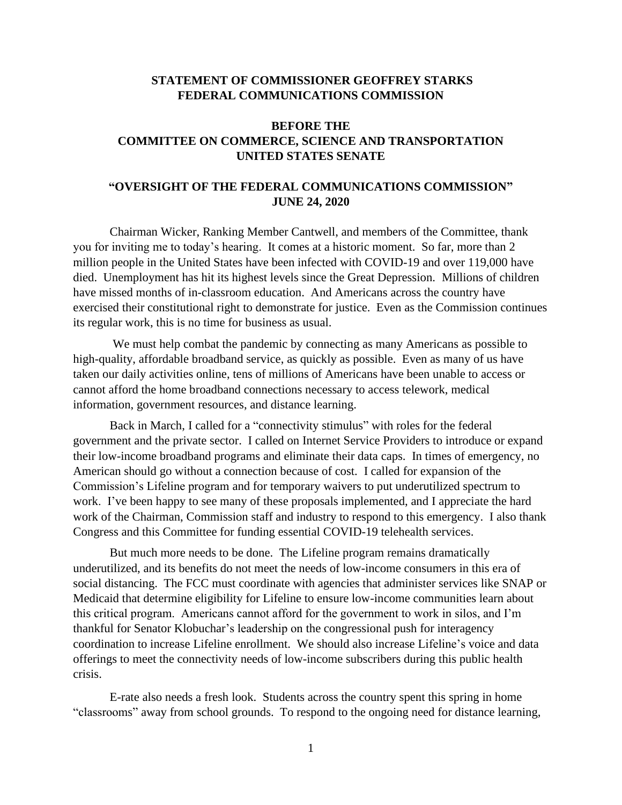## **STATEMENT OF COMMISSIONER GEOFFREY STARKS FEDERAL COMMUNICATIONS COMMISSION**

## **BEFORE THE COMMITTEE ON COMMERCE, SCIENCE AND TRANSPORTATION UNITED STATES SENATE**

## **"OVERSIGHT OF THE FEDERAL COMMUNICATIONS COMMISSION" JUNE 24, 2020**

Chairman Wicker, Ranking Member Cantwell, and members of the Committee, thank you for inviting me to today's hearing. It comes at a historic moment. So far, more than 2 million people in the United States have been infected with COVID-19 and over 119,000 have died. Unemployment has hit its highest levels since the Great Depression. Millions of children have missed months of in-classroom education. And Americans across the country have exercised their constitutional right to demonstrate for justice. Even as the Commission continues its regular work, this is no time for business as usual.

We must help combat the pandemic by connecting as many Americans as possible to high-quality, affordable broadband service, as quickly as possible. Even as many of us have taken our daily activities online, tens of millions of Americans have been unable to access or cannot afford the home broadband connections necessary to access telework, medical information, government resources, and distance learning.

Back in March, I called for a "connectivity stimulus" with roles for the federal government and the private sector. I called on Internet Service Providers to introduce or expand their low-income broadband programs and eliminate their data caps. In times of emergency, no American should go without a connection because of cost. I called for expansion of the Commission's Lifeline program and for temporary waivers to put underutilized spectrum to work. I've been happy to see many of these proposals implemented, and I appreciate the hard work of the Chairman, Commission staff and industry to respond to this emergency. I also thank Congress and this Committee for funding essential COVID-19 telehealth services.

But much more needs to be done. The Lifeline program remains dramatically underutilized, and its benefits do not meet the needs of low-income consumers in this era of social distancing. The FCC must coordinate with agencies that administer services like SNAP or Medicaid that determine eligibility for Lifeline to ensure low-income communities learn about this critical program. Americans cannot afford for the government to work in silos, and I'm thankful for Senator Klobuchar's leadership on the congressional push for interagency coordination to increase Lifeline enrollment. We should also increase Lifeline's voice and data offerings to meet the connectivity needs of low-income subscribers during this public health crisis.

E-rate also needs a fresh look. Students across the country spent this spring in home "classrooms" away from school grounds. To respond to the ongoing need for distance learning,